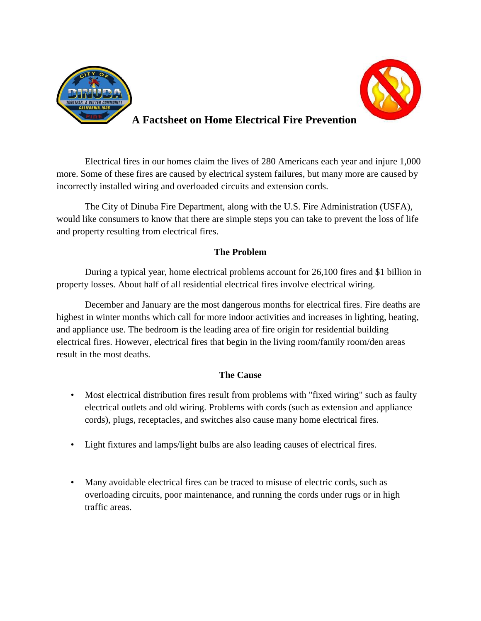



## **A Factsheet on Home Electrical Fire Prevention**

Electrical fires in our homes claim the lives of 280 Americans each year and injure 1,000 more. Some of these fires are caused by electrical system failures, but many more are caused by incorrectly installed wiring and overloaded circuits and extension cords.

The City of Dinuba Fire Department, along with the U.S. Fire Administration (USFA), would like consumers to know that there are simple steps you can take to prevent the loss of life and property resulting from electrical fires.

## **The Problem**

During a typical year, home electrical problems account for 26,100 fires and \$1 billion in property losses. About half of all residential electrical fires involve electrical wiring.

December and January are the most dangerous months for electrical fires. Fire deaths are highest in winter months which call for more indoor activities and increases in lighting, heating, and appliance use. The bedroom is the leading area of fire origin for residential building electrical fires. However, electrical fires that begin in the living room/family room/den areas result in the most deaths.

## **The Cause**

- Most electrical distribution fires result from problems with "fixed wiring" such as faulty electrical outlets and old wiring. Problems with cords (such as extension and appliance cords), plugs, receptacles, and switches also cause many home electrical fires.
- Light fixtures and lamps/light bulbs are also leading causes of electrical fires.
- Many avoidable electrical fires can be traced to misuse of electric cords, such as overloading circuits, poor maintenance, and running the cords under rugs or in high traffic areas.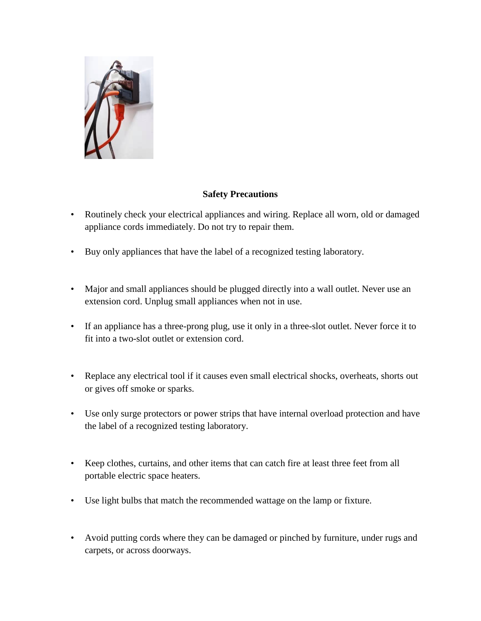

## **Safety Precautions**

- Routinely check your electrical appliances and wiring. Replace all worn, old or damaged appliance cords immediately. Do not try to repair them.
- Buy only appliances that have the label of a recognized testing laboratory.
- Major and small appliances should be plugged directly into a wall outlet. Never use an extension cord. Unplug small appliances when not in use.
- If an appliance has a three-prong plug, use it only in a three-slot outlet. Never force it to fit into a two-slot outlet or extension cord.
- Replace any electrical tool if it causes even small electrical shocks, overheats, shorts out or gives off smoke or sparks.
- Use only surge protectors or power strips that have internal overload protection and have the label of a recognized testing laboratory.
- Keep clothes, curtains, and other items that can catch fire at least three feet from all portable electric space heaters.
- Use light bulbs that match the recommended wattage on the lamp or fixture.
- Avoid putting cords where they can be damaged or pinched by furniture, under rugs and carpets, or across doorways.